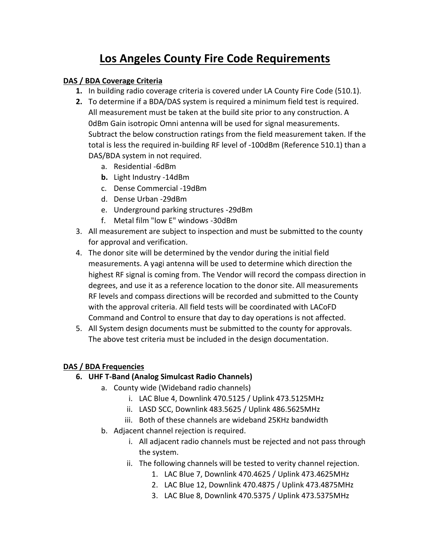# **Los Angeles County Fire Code Requirements**

#### **DAS / BDA Coverage Criteria**

- **1.** In building radio coverage criteria is covered under LA County Fire Code (510.1).
- **2.** To determine if a BDA/DAS system is required a minimum field test is required. All measurement must be taken at the build site prior to any construction. A 0dBm Gain isotropic Omni antenna will be used for signal measurements. Subtract the below construction ratings from the field measurement taken. If the total is less the required in-building RF level of -100dBm (Reference 510.1) than a DAS/BDA system in not required.
	- a. Residential -6dBm
	- **b.** Light Industry -14dBm
	- c. Dense Commercial -19dBm
	- d. Dense Urban -29dBm
	- e. Underground parking structures -29dBm
	- f. Metal film "low E" windows -30dBm
- 3. All measurement are subject to inspection and must be submitted to the county for approval and verification.
- 4. The donor site will be determined by the vendor during the initial field measurements. A yagi antenna will be used to determine which direction the highest RF signal is coming from. The Vendor will record the compass direction in degrees, and use it as a reference location to the donor site. All measurements RF levels and compass directions will be recorded and submitted to the County with the approval criteria. All field tests will be coordinated with LACoFD Command and Control to ensure that day to day operations is not affected.
- 5. All System design documents must be submitted to the county for approvals. The above test criteria must be included in the design documentation.

#### **DAS / BDA Frequencies**

- **6. UHF T-Band (Analog Simulcast Radio Channels)**
	- a. County wide (Wideband radio channels)
		- i. LAC Blue 4, Downlink 470.5125 / Uplink 473.5125MHz
		- ii. LASD SCC, Downlink 483.5625 / Uplink 486.5625MHz
		- iii. Both of these channels are wideband 25KHz bandwidth
	- b. Adjacent channel rejection is required.
		- i. All adjacent radio channels must be rejected and not pass through the system.
		- ii. The following channels will be tested to verity channel rejection.
			- 1. LAC Blue 7, Downlink 470.4625 / Uplink 473.4625MHz
			- 2. LAC Blue 12, Downlink 470.4875 / Uplink 473.4875MHz
			- 3. LAC Blue 8, Downlink 470.5375 / Uplink 473.5375MHz